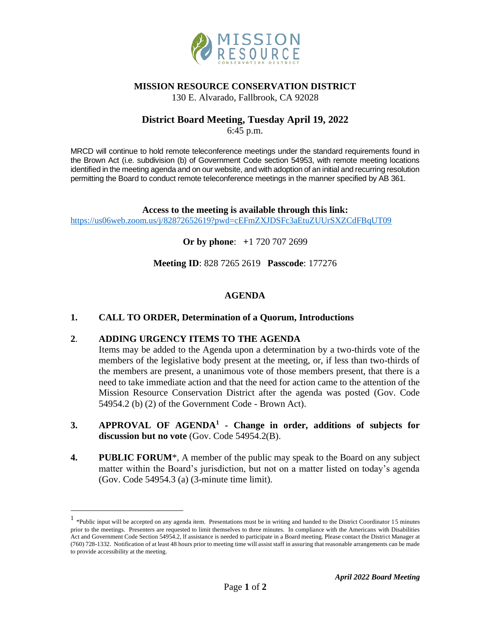

### **MISSION RESOURCE CONSERVATION DISTRICT**

130 E. Alvarado, Fallbrook, CA 92028

# **District Board Meeting, Tuesday April 19, 2022**

6:45 p.m.

MRCD will continue to hold remote teleconference meetings under the standard requirements found in the Brown Act (i.e. subdivision (b) of Government Code section 54953, with remote meeting locations identified in the meeting agenda and on our website, and with adoption of an initial and recurring resolution permitting the Board to conduct remote teleconference meetings in the manner specified by AB 361.

**Access to the meeting is available through this link:** <https://us06web.zoom.us/j/82872652619?pwd=cEFmZXJDSFc3aEtuZUUrSXZCdFBqUT09>

**Or by phone**: **+**1 720 707 2699

**Meeting ID**: 828 7265 2619 **Passcode**: 177276

### **AGENDA**

### **1. CALL TO ORDER, Determination of a Quorum, Introductions**

### **2**. **ADDING URGENCY ITEMS TO THE AGENDA**

Items may be added to the Agenda upon a determination by a two-thirds vote of the members of the legislative body present at the meeting, or, if less than two-thirds of the members are present, a unanimous vote of those members present, that there is a need to take immediate action and that the need for action came to the attention of the Mission Resource Conservation District after the agenda was posted (Gov. Code 54954.2 (b) (2) of the Government Code - Brown Act).

- **3. APPROVAL OF AGENDA<sup>1</sup> - Change in order, additions of subjects for discussion but no vote** (Gov. Code 54954.2(B).
- **4. PUBLIC FORUM**\*, A member of the public may speak to the Board on any subject matter within the Board's jurisdiction, but not on a matter listed on today's agenda (Gov. Code 54954.3 (a) (3-minute time limit).

<sup>&</sup>lt;sup>1</sup> \*Public input will be accepted on any agenda item. Presentations must be in writing and handed to the District Coordinator 15 minutes prior to the meetings. Presenters are requested to limit themselves to three minutes. In compliance with the Americans with Disabilities Act and Government Code Section 54954.2, lf assistance is needed to participate in a Board meeting. Please contact the District Manager at (760) 728-1332. Notification of at least 48 hours prior to meeting time will assist staff in assuring that reasonable arrangements can be made to provide accessibility at the meeting.